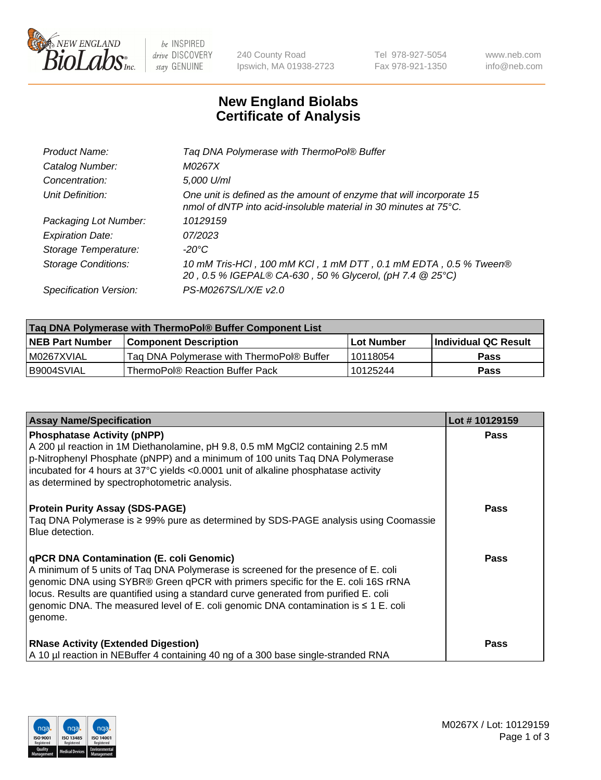

 $be$  INSPIRED drive DISCOVERY stay GENUINE

240 County Road Ipswich, MA 01938-2723 Tel 978-927-5054 Fax 978-921-1350 www.neb.com info@neb.com

## **New England Biolabs Certificate of Analysis**

| Tag DNA Polymerase with ThermoPol® Buffer                                                                                                |
|------------------------------------------------------------------------------------------------------------------------------------------|
| M0267X                                                                                                                                   |
| 5,000 U/ml                                                                                                                               |
| One unit is defined as the amount of enzyme that will incorporate 15<br>nmol of dNTP into acid-insoluble material in 30 minutes at 75°C. |
| 10129159                                                                                                                                 |
| 07/2023                                                                                                                                  |
| $-20^{\circ}$ C                                                                                                                          |
| 10 mM Tris-HCl, 100 mM KCl, 1 mM DTT, 0.1 mM EDTA, 0.5 % Tween®<br>20, 0.5 % IGEPAL® CA-630, 50 % Glycerol, (pH 7.4 @ 25°C)              |
| PS-M0267S/L/X/E v2.0                                                                                                                     |
|                                                                                                                                          |

| Tag DNA Polymerase with ThermoPol® Buffer Component List |                                           |            |                      |  |
|----------------------------------------------------------|-------------------------------------------|------------|----------------------|--|
| <b>NEB Part Number</b>                                   | <b>Component Description</b>              | Lot Number | Individual QC Result |  |
| I M0267XVIAL                                             | Tag DNA Polymerase with ThermoPol® Buffer | 10118054   | Pass                 |  |
| I B9004SVIAL                                             | ThermoPol® Reaction Buffer Pack           | 10125244   | Pass                 |  |

| <b>Assay Name/Specification</b>                                                                                                                                                                                                                                                                                                                                                                                           | Lot #10129159 |
|---------------------------------------------------------------------------------------------------------------------------------------------------------------------------------------------------------------------------------------------------------------------------------------------------------------------------------------------------------------------------------------------------------------------------|---------------|
| <b>Phosphatase Activity (pNPP)</b><br>A 200 µl reaction in 1M Diethanolamine, pH 9.8, 0.5 mM MgCl2 containing 2.5 mM<br>$\vert$ p-Nitrophenyl Phosphate (pNPP) and a minimum of 100 units Taq DNA Polymerase<br>incubated for 4 hours at 37°C yields <0.0001 unit of alkaline phosphatase activity<br>as determined by spectrophotometric analysis.                                                                       | <b>Pass</b>   |
| <b>Protein Purity Assay (SDS-PAGE)</b><br>Taq DNA Polymerase is ≥ 99% pure as determined by SDS-PAGE analysis using Coomassie<br>Blue detection.                                                                                                                                                                                                                                                                          | <b>Pass</b>   |
| <b>qPCR DNA Contamination (E. coli Genomic)</b><br>A minimum of 5 units of Taq DNA Polymerase is screened for the presence of E. coli<br>genomic DNA using SYBR® Green qPCR with primers specific for the E. coli 16S rRNA<br>locus. Results are quantified using a standard curve generated from purified E. coli<br>genomic DNA. The measured level of E. coli genomic DNA contamination is $\leq 1$ E. coli<br>genome. | <b>Pass</b>   |
| <b>RNase Activity (Extended Digestion)</b><br>A 10 µl reaction in NEBuffer 4 containing 40 ng of a 300 base single-stranded RNA                                                                                                                                                                                                                                                                                           | <b>Pass</b>   |

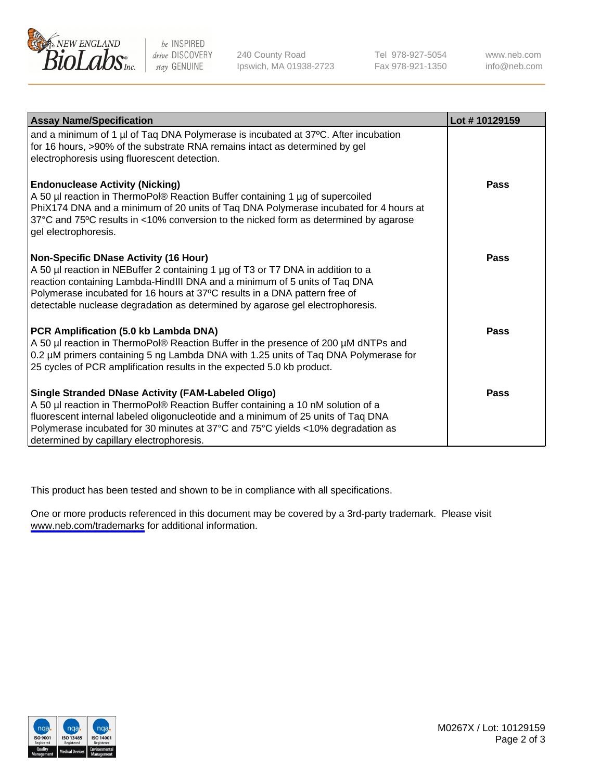

be INSPIRED drive DISCOVERY stay GENUINE

240 County Road Ipswich, MA 01938-2723 Tel 978-927-5054 Fax 978-921-1350

www.neb.com info@neb.com

| <b>Assay Name/Specification</b>                                                                                                                                                                                                                                                                                                                                              | Lot #10129159 |
|------------------------------------------------------------------------------------------------------------------------------------------------------------------------------------------------------------------------------------------------------------------------------------------------------------------------------------------------------------------------------|---------------|
| and a minimum of 1 µl of Taq DNA Polymerase is incubated at 37°C. After incubation<br>for 16 hours, >90% of the substrate RNA remains intact as determined by gel<br>electrophoresis using fluorescent detection.                                                                                                                                                            |               |
| <b>Endonuclease Activity (Nicking)</b><br>A 50 µl reaction in ThermoPol® Reaction Buffer containing 1 µg of supercoiled<br>PhiX174 DNA and a minimum of 20 units of Taq DNA Polymerase incubated for 4 hours at<br>37°C and 75°C results in <10% conversion to the nicked form as determined by agarose<br>gel electrophoresis.                                              | Pass          |
| <b>Non-Specific DNase Activity (16 Hour)</b><br>A 50 µl reaction in NEBuffer 2 containing 1 µg of T3 or T7 DNA in addition to a<br>reaction containing Lambda-HindIII DNA and a minimum of 5 units of Taq DNA<br>Polymerase incubated for 16 hours at 37°C results in a DNA pattern free of<br>detectable nuclease degradation as determined by agarose gel electrophoresis. | Pass          |
| PCR Amplification (5.0 kb Lambda DNA)<br>A 50 µl reaction in ThermoPol® Reaction Buffer in the presence of 200 µM dNTPs and<br>0.2 µM primers containing 5 ng Lambda DNA with 1.25 units of Tag DNA Polymerase for<br>25 cycles of PCR amplification results in the expected 5.0 kb product.                                                                                 | Pass          |
| Single Stranded DNase Activity (FAM-Labeled Oligo)<br>A 50 µl reaction in ThermoPol® Reaction Buffer containing a 10 nM solution of a<br>fluorescent internal labeled oligonucleotide and a minimum of 25 units of Taq DNA<br>Polymerase incubated for 30 minutes at 37°C and 75°C yields <10% degradation as<br>determined by capillary electrophoresis.                    | Pass          |

This product has been tested and shown to be in compliance with all specifications.

One or more products referenced in this document may be covered by a 3rd-party trademark. Please visit <www.neb.com/trademarks>for additional information.